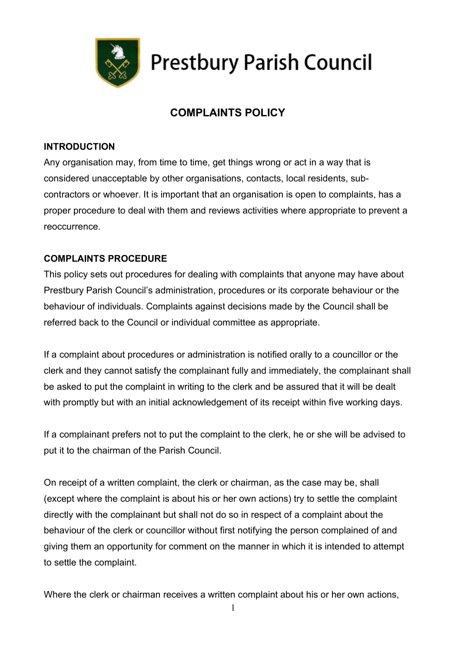

## **Prestbury Parish Council**

## COMPLAINTS POLICY

## INTRODUCTION

Any organisation may, from time to time, get things wrong or act in a way that is considered unacceptable by other organisations, contacts, local residents, subcontractors or whoever. It is important that an organisation is open to complaints, has a proper procedure to deal with them and reviews activities where appropriate to prevent a reoccurrence.

## COMPLAINTS PROCEDURE

This policy sets out procedures for dealing with complaints that anyone may have about Prestbury Parish Council's administration, procedures or its corporate behaviour or the behaviour of individuals. Complaints against decisions made by the Council shall be referred back to the Council or individual committee as appropriate.

If a complaint about procedures or administration is notified orally to a councillor or the clerk and they cannot satisfy the complainant fully and immediately, the complainant shall be asked to put the complaint in writing to the clerk and be assured that it will be dealt with promptly but with an initial acknowledgement of its receipt within five working days.

If a complainant prefers not to put the complaint to the clerk, he or she will be advised to put it to the chairman of the Parish Council.

On receipt of a written complaint, the clerk or chairman, as the case may be, shall (except where the complaint is about his or her own actions) try to settle the complaint directly with the complainant but shall not do so in respect of a complaint about the behaviour of the clerk or councillor without first notifying the person complained of and giving them an opportunity for comment on the manner in which it is intended to attempt to settle the complaint.

Where the clerk or chairman receives a written complaint about his or her own actions,